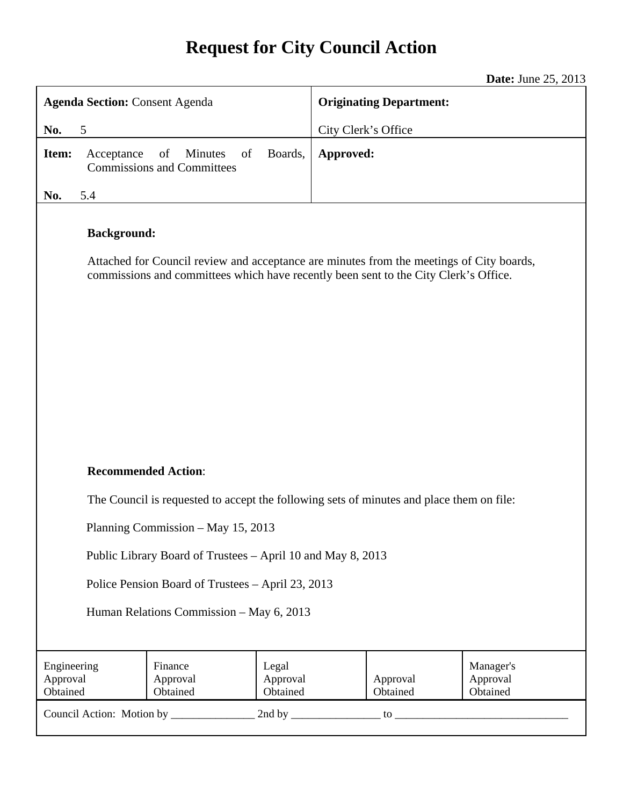# **Request for City Council Action**

**Date:** June 25, 2013

|                                                                                                                                                                                                        | <b>Agenda Section: Consent Agenda</b>                                                    |                     | <b>Originating Department:</b> |                                   |  |
|--------------------------------------------------------------------------------------------------------------------------------------------------------------------------------------------------------|------------------------------------------------------------------------------------------|---------------------|--------------------------------|-----------------------------------|--|
| 5<br>No.                                                                                                                                                                                               |                                                                                          | City Clerk's Office |                                |                                   |  |
| Item:                                                                                                                                                                                                  | Boards,<br>of<br><b>Minutes</b><br>of<br>Acceptance<br><b>Commissions and Committees</b> | Approved:           |                                |                                   |  |
| 5.4<br>No.                                                                                                                                                                                             |                                                                                          |                     |                                |                                   |  |
| <b>Background:</b><br>Attached for Council review and acceptance are minutes from the meetings of City boards,<br>commissions and committees which have recently been sent to the City Clerk's Office. |                                                                                          |                     |                                |                                   |  |
| <b>Recommended Action:</b>                                                                                                                                                                             |                                                                                          |                     |                                |                                   |  |
| The Council is requested to accept the following sets of minutes and place them on file:                                                                                                               |                                                                                          |                     |                                |                                   |  |
| Planning Commission - May 15, 2013                                                                                                                                                                     |                                                                                          |                     |                                |                                   |  |
| Public Library Board of Trustees - April 10 and May 8, 2013                                                                                                                                            |                                                                                          |                     |                                |                                   |  |
| Police Pension Board of Trustees - April 23, 2013                                                                                                                                                      |                                                                                          |                     |                                |                                   |  |
| Human Relations Commission - May 6, 2013                                                                                                                                                               |                                                                                          |                     |                                |                                   |  |
| Engineering<br>Approval<br>Obtained                                                                                                                                                                    | Finance<br>Legal<br>Approval<br>Approval<br>Obtained<br>Obtained                         |                     | Approval<br>Obtained           | Manager's<br>Approval<br>Obtained |  |
|                                                                                                                                                                                                        |                                                                                          |                     |                                |                                   |  |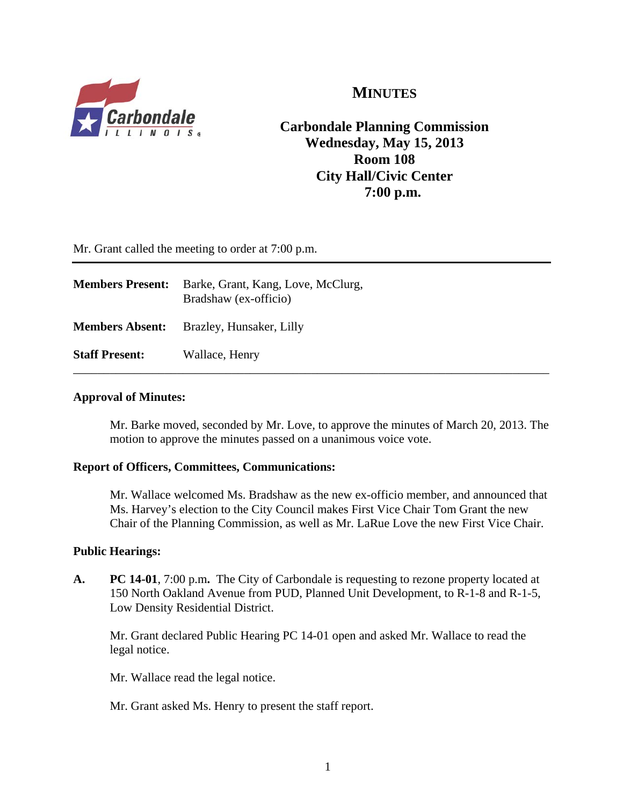

# **MINUTES**

**Carbondale Planning Commission Wednesday, May 15, 2013 Room 108 City Hall/Civic Center 7:00 p.m.**

Mr. Grant called the meeting to order at 7:00 p.m.

| <b>Members Present:</b> | Barke, Grant, Kang, Love, McClurg,<br>Bradshaw (ex-officio) |
|-------------------------|-------------------------------------------------------------|
| <b>Members Absent:</b>  | Brazley, Hunsaker, Lilly                                    |
| <b>Staff Present:</b>   | Wallace, Henry                                              |

#### **Approval of Minutes:**

Mr. Barke moved, seconded by Mr. Love, to approve the minutes of March 20, 2013. The motion to approve the minutes passed on a unanimous voice vote.

#### **Report of Officers, Committees, Communications:**

Mr. Wallace welcomed Ms. Bradshaw as the new ex-officio member, and announced that Ms. Harvey's election to the City Council makes First Vice Chair Tom Grant the new Chair of the Planning Commission, as well as Mr. LaRue Love the new First Vice Chair.

#### **Public Hearings:**

**A. PC 14-01**, 7:00 p.m**.** The City of Carbondale is requesting to rezone property located at 150 North Oakland Avenue from PUD, Planned Unit Development, to R-1-8 and R-1-5, Low Density Residential District.

Mr. Grant declared Public Hearing PC 14-01 open and asked Mr. Wallace to read the legal notice.

Mr. Wallace read the legal notice.

Mr. Grant asked Ms. Henry to present the staff report.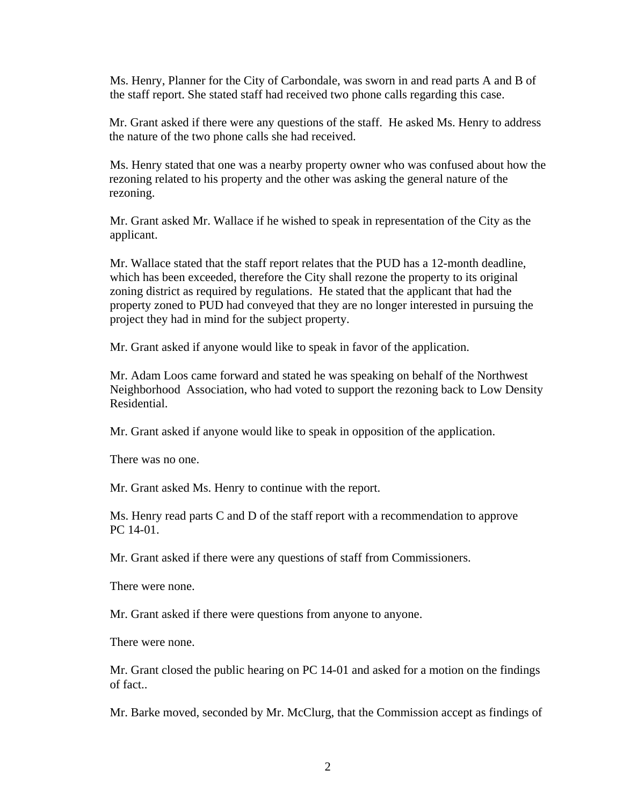Ms. Henry, Planner for the City of Carbondale, was sworn in and read parts A and B of the staff report. She stated staff had received two phone calls regarding this case.

Mr. Grant asked if there were any questions of the staff. He asked Ms. Henry to address the nature of the two phone calls she had received.

Ms. Henry stated that one was a nearby property owner who was confused about how the rezoning related to his property and the other was asking the general nature of the rezoning.

Mr. Grant asked Mr. Wallace if he wished to speak in representation of the City as the applicant.

Mr. Wallace stated that the staff report relates that the PUD has a 12-month deadline, which has been exceeded, therefore the City shall rezone the property to its original zoning district as required by regulations. He stated that the applicant that had the property zoned to PUD had conveyed that they are no longer interested in pursuing the project they had in mind for the subject property.

Mr. Grant asked if anyone would like to speak in favor of the application.

Mr. Adam Loos came forward and stated he was speaking on behalf of the Northwest Neighborhood Association, who had voted to support the rezoning back to Low Density Residential.

Mr. Grant asked if anyone would like to speak in opposition of the application.

There was no one.

Mr. Grant asked Ms. Henry to continue with the report.

 Ms. Henry read parts C and D of the staff report with a recommendation to approve PC 14-01.

Mr. Grant asked if there were any questions of staff from Commissioners.

There were none.

Mr. Grant asked if there were questions from anyone to anyone.

There were none.

Mr. Grant closed the public hearing on PC 14-01 and asked for a motion on the findings of fact..

Mr. Barke moved, seconded by Mr. McClurg, that the Commission accept as findings of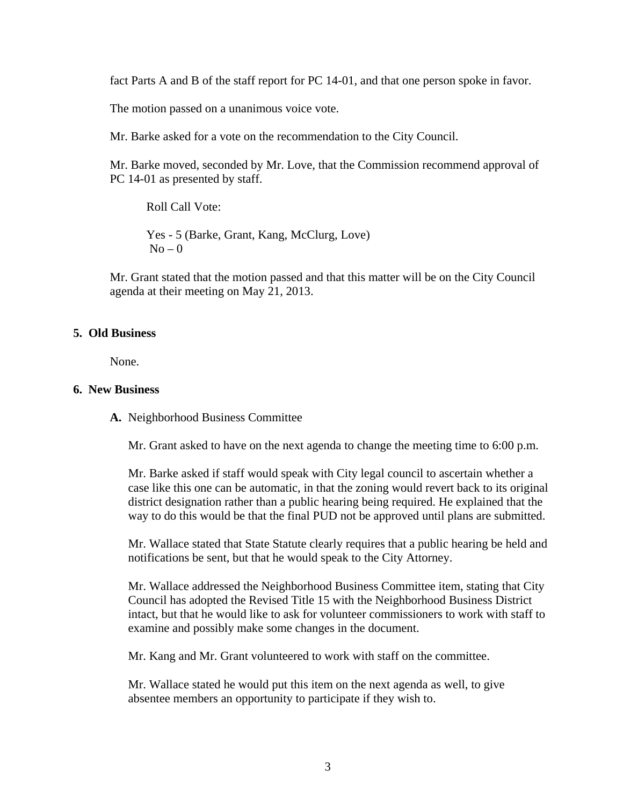fact Parts A and B of the staff report for PC 14-01, and that one person spoke in favor.

The motion passed on a unanimous voice vote.

Mr. Barke asked for a vote on the recommendation to the City Council.

Mr. Barke moved, seconded by Mr. Love, that the Commission recommend approval of PC 14-01 as presented by staff.

Roll Call Vote:

Yes - 5 (Barke, Grant, Kang, McClurg, Love)  $No - 0$ 

Mr. Grant stated that the motion passed and that this matter will be on the City Council agenda at their meeting on May 21, 2013.

#### **5. Old Business**

None.

#### **6. New Business**

**A.** Neighborhood Business Committee

Mr. Grant asked to have on the next agenda to change the meeting time to 6:00 p.m.

Mr. Barke asked if staff would speak with City legal council to ascertain whether a case like this one can be automatic, in that the zoning would revert back to its original district designation rather than a public hearing being required. He explained that the way to do this would be that the final PUD not be approved until plans are submitted.

Mr. Wallace stated that State Statute clearly requires that a public hearing be held and notifications be sent, but that he would speak to the City Attorney.

Mr. Wallace addressed the Neighborhood Business Committee item, stating that City Council has adopted the Revised Title 15 with the Neighborhood Business District intact, but that he would like to ask for volunteer commissioners to work with staff to examine and possibly make some changes in the document.

Mr. Kang and Mr. Grant volunteered to work with staff on the committee.

Mr. Wallace stated he would put this item on the next agenda as well, to give absentee members an opportunity to participate if they wish to.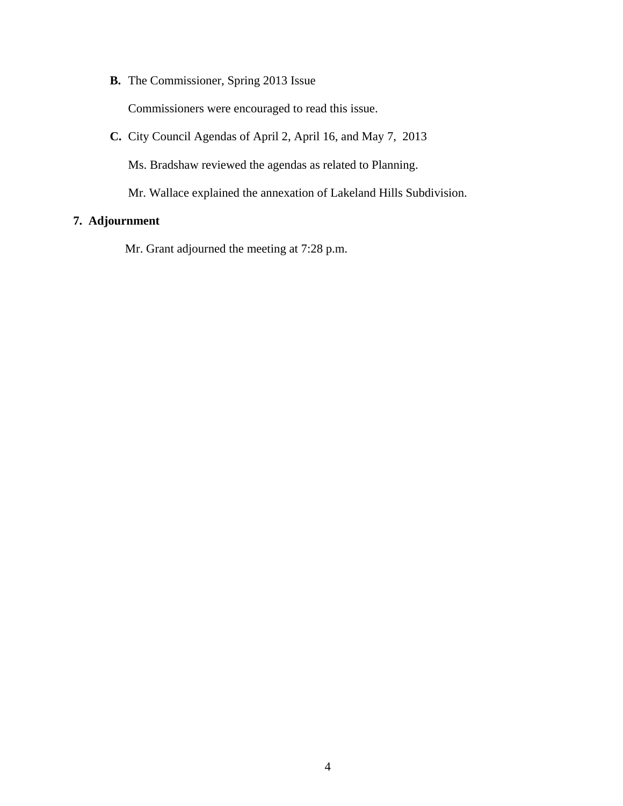**B.** The Commissioner, Spring 2013 Issue

Commissioners were encouraged to read this issue.

**C.** City Council Agendas of April 2, April 16, and May 7, 2013

Ms. Bradshaw reviewed the agendas as related to Planning.

Mr. Wallace explained the annexation of Lakeland Hills Subdivision.

# **7. Adjournment**

Mr. Grant adjourned the meeting at 7:28 p.m.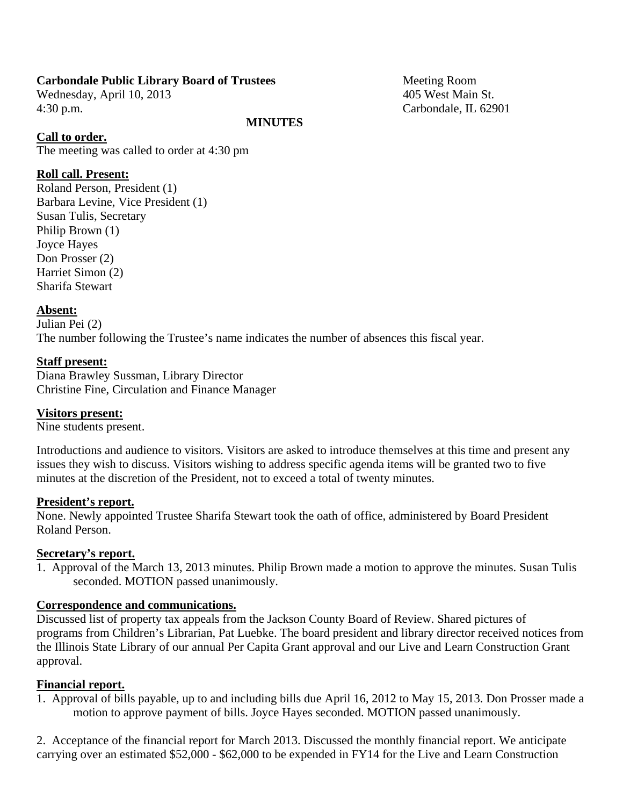#### **Carbondale Public Library Board of Trustees** Meeting Room

Wednesday, April 10, 2013 405 West Main St. 4:30 p.m. Carbondale, IL 62901

#### **MINUTES**

#### **Call to order.**

The meeting was called to order at 4:30 pm

#### **Roll call. Present:**

Roland Person, President (1) Barbara Levine, Vice President (1) Susan Tulis, Secretary Philip Brown (1) Joyce Hayes Don Prosser (2) Harriet Simon (2) Sharifa Stewart

#### **Absent:**

Julian Pei (2) The number following the Trustee's name indicates the number of absences this fiscal year.

#### **Staff present:**

Diana Brawley Sussman, Library Director Christine Fine, Circulation and Finance Manager

#### **Visitors present:**

Nine students present.

Introductions and audience to visitors. Visitors are asked to introduce themselves at this time and present any issues they wish to discuss. Visitors wishing to address specific agenda items will be granted two to five minutes at the discretion of the President, not to exceed a total of twenty minutes.

#### **President's report.**

None. Newly appointed Trustee Sharifa Stewart took the oath of office, administered by Board President Roland Person.

#### **Secretary's report.**

1. Approval of the March 13, 2013 minutes. Philip Brown made a motion to approve the minutes. Susan Tulis seconded. MOTION passed unanimously.

#### **Correspondence and communications.**

Discussed list of property tax appeals from the Jackson County Board of Review. Shared pictures of programs from Children's Librarian, Pat Luebke. The board president and library director received notices from the Illinois State Library of our annual Per Capita Grant approval and our Live and Learn Construction Grant approval.

#### **Financial report.**

1. Approval of bills payable, up to and including bills due April 16, 2012 to May 15, 2013. Don Prosser made a motion to approve payment of bills. Joyce Hayes seconded. MOTION passed unanimously.

2. Acceptance of the financial report for March 2013. Discussed the monthly financial report. We anticipate carrying over an estimated \$52,000 - \$62,000 to be expended in FY14 for the Live and Learn Construction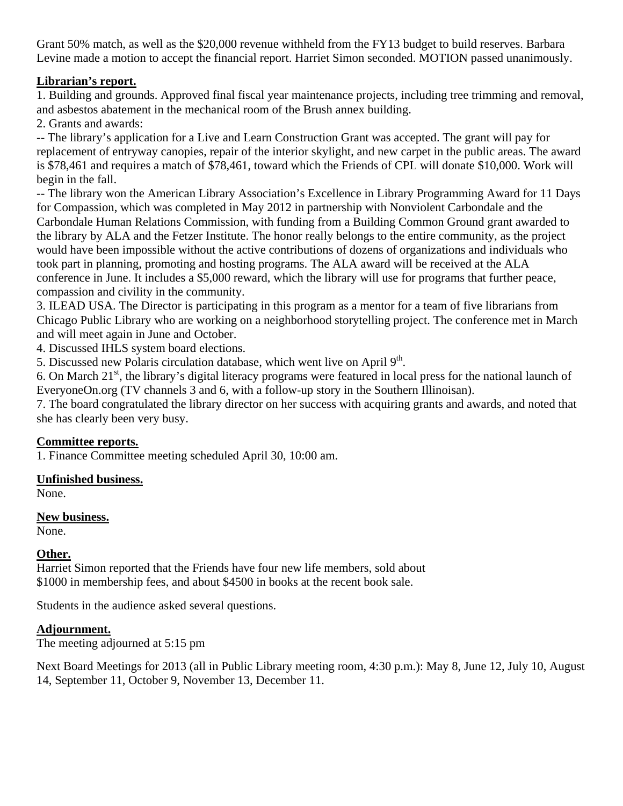Grant 50% match, as well as the \$20,000 revenue withheld from the FY13 budget to build reserves. Barbara Levine made a motion to accept the financial report. Harriet Simon seconded. MOTION passed unanimously.

# **Librarian's report.**

1. Building and grounds. Approved final fiscal year maintenance projects, including tree trimming and removal, and asbestos abatement in the mechanical room of the Brush annex building.

2. Grants and awards:

-- The library's application for a Live and Learn Construction Grant was accepted. The grant will pay for replacement of entryway canopies, repair of the interior skylight, and new carpet in the public areas. The award is \$78,461 and requires a match of \$78,461, toward which the Friends of CPL will donate \$10,000. Work will begin in the fall.

-- The library won the American Library Association's Excellence in Library Programming Award for 11 Days for Compassion, which was completed in May 2012 in partnership with Nonviolent Carbondale and the Carbondale Human Relations Commission, with funding from a Building Common Ground grant awarded to the library by ALA and the Fetzer Institute. The honor really belongs to the entire community, as the project would have been impossible without the active contributions of dozens of organizations and individuals who took part in planning, promoting and hosting programs. The ALA award will be received at the ALA conference in June. It includes a \$5,000 reward, which the library will use for programs that further peace, compassion and civility in the community.

3. ILEAD USA. The Director is participating in this program as a mentor for a team of five librarians from Chicago Public Library who are working on a neighborhood storytelling project. The conference met in March and will meet again in June and October.

4. Discussed IHLS system board elections.

5. Discussed new Polaris circulation database, which went live on April 9<sup>th</sup>.

6. On March 21st, the library's digital literacy programs were featured in local press for the national launch of EveryoneOn.org (TV channels 3 and 6, with a follow-up story in the Southern Illinoisan).

7. The board congratulated the library director on her success with acquiring grants and awards, and noted that she has clearly been very busy.

## **Committee reports.**

1. Finance Committee meeting scheduled April 30, 10:00 am.

## **Unfinished business.**

None.

## **New business.**

None.

# **Other.**

Harriet Simon reported that the Friends have four new life members, sold about \$1000 in membership fees, and about \$4500 in books at the recent book sale.

Students in the audience asked several questions.

## **Adjournment.**

The meeting adjourned at 5:15 pm

Next Board Meetings for 2013 (all in Public Library meeting room, 4:30 p.m.): May 8, June 12, July 10, August 14, September 11, October 9, November 13, December 11.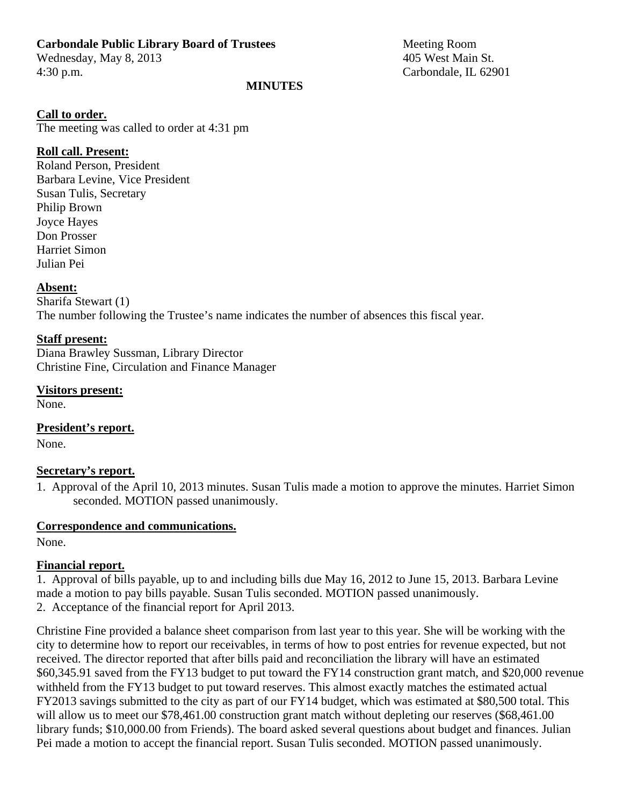#### **Carbondale Public Library Board of Trustees** Meeting Room

Wednesday, May 8, 2013 405 West Main St. 4:30 p.m. Carbondale, IL 62901

#### **MINUTES**

#### **Call to order.**

The meeting was called to order at 4:31 pm

## **Roll call. Present:**

Roland Person, President Barbara Levine, Vice President Susan Tulis, Secretary Philip Brown Joyce Hayes Don Prosser Harriet Simon Julian Pei

#### **Absent:**

Sharifa Stewart (1) The number following the Trustee's name indicates the number of absences this fiscal year.

#### **Staff present:**

Diana Brawley Sussman, Library Director Christine Fine, Circulation and Finance Manager

## **Visitors present:**

None.

**President's report.**  None.

#### **Secretary's report.**

1. Approval of the April 10, 2013 minutes. Susan Tulis made a motion to approve the minutes. Harriet Simon seconded. MOTION passed unanimously.

## **Correspondence and communications.**

None.

## **Financial report.**

1. Approval of bills payable, up to and including bills due May 16, 2012 to June 15, 2013. Barbara Levine made a motion to pay bills payable. Susan Tulis seconded. MOTION passed unanimously. 2. Acceptance of the financial report for April 2013.

Christine Fine provided a balance sheet comparison from last year to this year. She will be working with the city to determine how to report our receivables, in terms of how to post entries for revenue expected, but not received. The director reported that after bills paid and reconciliation the library will have an estimated \$60,345.91 saved from the FY13 budget to put toward the FY14 construction grant match, and \$20,000 revenue withheld from the FY13 budget to put toward reserves. This almost exactly matches the estimated actual FY2013 savings submitted to the city as part of our FY14 budget, which was estimated at \$80,500 total. This will allow us to meet our \$78,461.00 construction grant match without depleting our reserves (\$68,461.00) library funds; \$10,000.00 from Friends). The board asked several questions about budget and finances. Julian Pei made a motion to accept the financial report. Susan Tulis seconded. MOTION passed unanimously.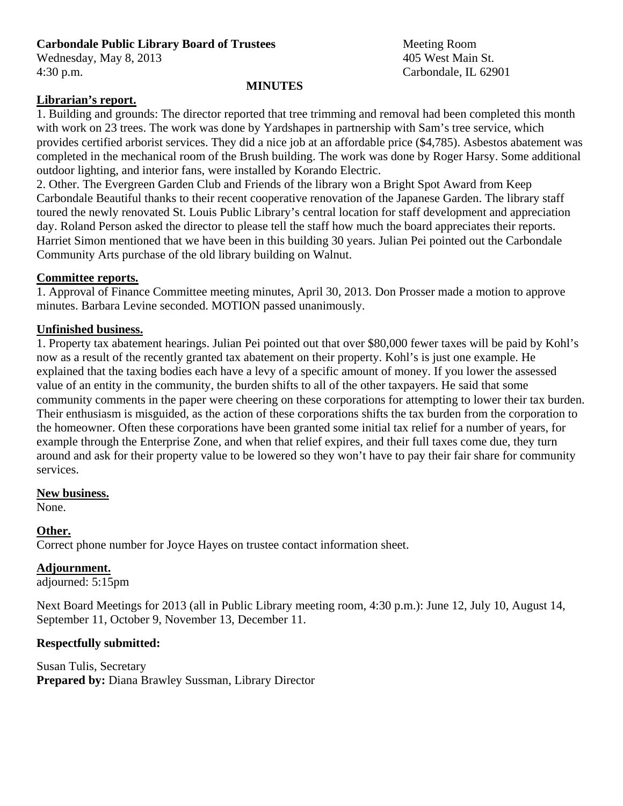# **Carbondale Public Library Board of Trustees** Meeting Room

Wednesday, May 8, 2013 405 West Main St. 4:30 p.m. Carbondale, IL 62901

#### **MINUTES**

# **Librarian's report.**

1. Building and grounds: The director reported that tree trimming and removal had been completed this month with work on 23 trees. The work was done by Yardshapes in partnership with Sam's tree service, which provides certified arborist services. They did a nice job at an affordable price (\$4,785). Asbestos abatement was completed in the mechanical room of the Brush building. The work was done by Roger Harsy. Some additional outdoor lighting, and interior fans, were installed by Korando Electric.

2. Other. The Evergreen Garden Club and Friends of the library won a Bright Spot Award from Keep Carbondale Beautiful thanks to their recent cooperative renovation of the Japanese Garden. The library staff toured the newly renovated St. Louis Public Library's central location for staff development and appreciation day. Roland Person asked the director to please tell the staff how much the board appreciates their reports. Harriet Simon mentioned that we have been in this building 30 years. Julian Pei pointed out the Carbondale Community Arts purchase of the old library building on Walnut.

## **Committee reports.**

1. Approval of Finance Committee meeting minutes, April 30, 2013. Don Prosser made a motion to approve minutes. Barbara Levine seconded. MOTION passed unanimously.

## **Unfinished business.**

1. Property tax abatement hearings. Julian Pei pointed out that over \$80,000 fewer taxes will be paid by Kohl's now as a result of the recently granted tax abatement on their property. Kohl's is just one example. He explained that the taxing bodies each have a levy of a specific amount of money. If you lower the assessed value of an entity in the community, the burden shifts to all of the other taxpayers. He said that some community comments in the paper were cheering on these corporations for attempting to lower their tax burden. Their enthusiasm is misguided, as the action of these corporations shifts the tax burden from the corporation to the homeowner. Often these corporations have been granted some initial tax relief for a number of years, for example through the Enterprise Zone, and when that relief expires, and their full taxes come due, they turn around and ask for their property value to be lowered so they won't have to pay their fair share for community services.

#### **New business.**

None.

## **Other.**

Correct phone number for Joyce Hayes on trustee contact information sheet.

## **Adjournment.**

adjourned: 5:15pm

Next Board Meetings for 2013 (all in Public Library meeting room, 4:30 p.m.): June 12, July 10, August 14, September 11, October 9, November 13, December 11.

## **Respectfully submitted:**

Susan Tulis, Secretary **Prepared by:** Diana Brawley Sussman, Library Director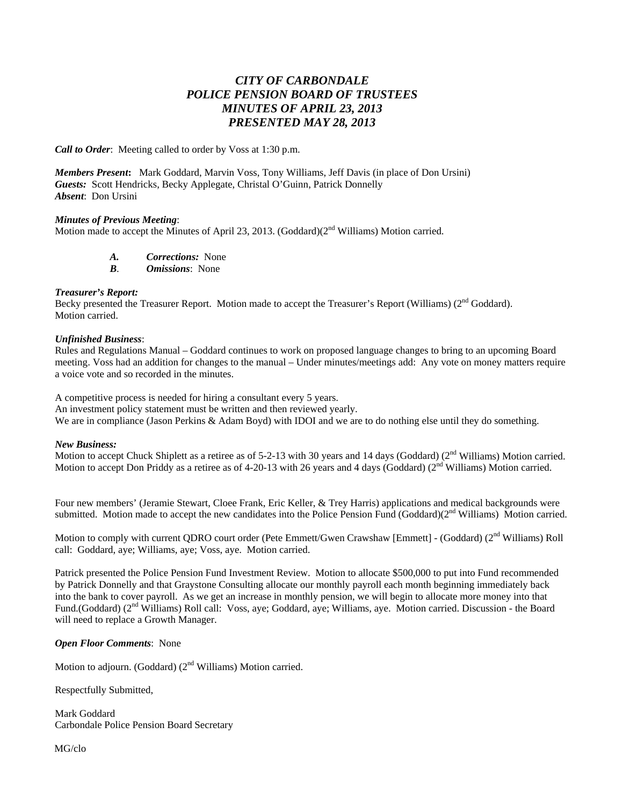# *CITY OF CARBONDALE POLICE PENSION BOARD OF TRUSTEES MINUTES OF APRIL 23, 2013 PRESENTED MAY 28, 2013*

*Call to Order*: Meeting called to order by Voss at 1:30 p.m.

*Members Present***:** Mark Goddard, Marvin Voss, Tony Williams, Jeff Davis (in place of Don Ursini) *Guests:* Scott Hendricks, Becky Applegate, Christal O'Guinn, Patrick Donnelly *Absent*: Don Ursini

#### *Minutes of Previous Meeting*:

Motion made to accept the Minutes of April 23, 2013. (Goddard)(2<sup>nd</sup> Williams) Motion carried.

*A. Corrections:* None

*B*. *Omissions*: None

#### *Treasurer's Report:*

Becky presented the Treasurer Report. Motion made to accept the Treasurer's Report (Williams) (2<sup>nd</sup> Goddard). Motion carried.

#### *Unfinished Business*:

Rules and Regulations Manual – Goddard continues to work on proposed language changes to bring to an upcoming Board meeting. Voss had an addition for changes to the manual – Under minutes/meetings add: Any vote on money matters require a voice vote and so recorded in the minutes.

A competitive process is needed for hiring a consultant every 5 years.

An investment policy statement must be written and then reviewed yearly.

We are in compliance (Jason Perkins & Adam Boyd) with IDOI and we are to do nothing else until they do something.

#### *New Business:*

Motion to accept Chuck Shiplett as a retiree as of 5-2-13 with 30 years and 14 days (Goddard) ( $2<sup>nd</sup>$  Williams) Motion carried. Motion to accept Don Priddy as a retiree as of 4-20-13 with 26 years and 4 days (Goddard) ( $2<sup>nd</sup>$  Williams) Motion carried.

Four new members' (Jeramie Stewart, Cloee Frank, Eric Keller, & Trey Harris) applications and medical backgrounds were submitted. Motion made to accept the new candidates into the Police Pension Fund (Goddard) $(2<sup>nd</sup>$  Williams) Motion carried.

Motion to comply with current QDRO court order (Pete Emmett/Gwen Crawshaw [Emmett] - (Goddard) (2<sup>nd</sup> Williams) Roll call: Goddard, aye; Williams, aye; Voss, aye. Motion carried.

Patrick presented the Police Pension Fund Investment Review. Motion to allocate \$500,000 to put into Fund recommended by Patrick Donnelly and that Graystone Consulting allocate our monthly payroll each month beginning immediately back into the bank to cover payroll. As we get an increase in monthly pension, we will begin to allocate more money into that Fund.(Goddard) (2nd Williams) Roll call: Voss, aye; Goddard, aye; Williams, aye. Motion carried. Discussion - the Board will need to replace a Growth Manager.

#### *Open Floor Comments*: None

Motion to adjourn. (Goddard) (2<sup>nd</sup> Williams) Motion carried.

Respectfully Submitted,

Mark Goddard Carbondale Police Pension Board Secretary

MG/clo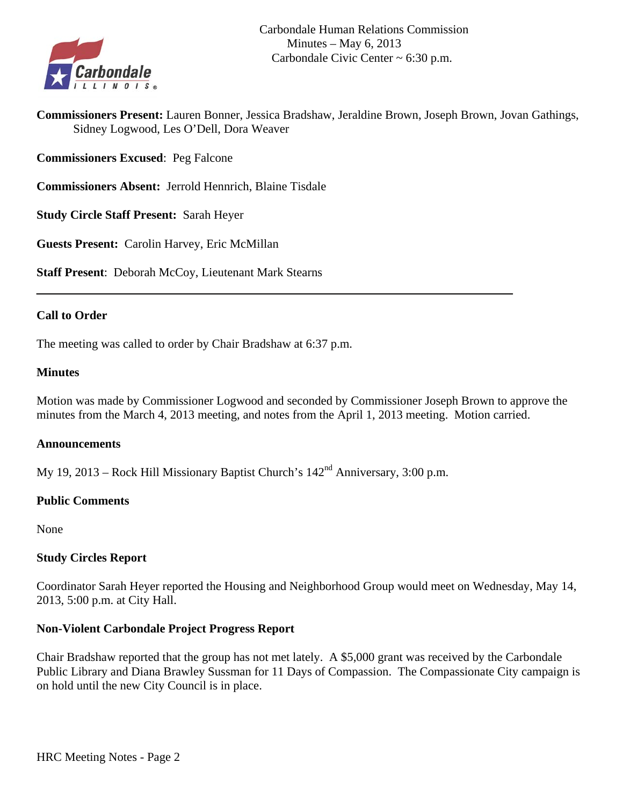

**Commissioners Present:** Lauren Bonner, Jessica Bradshaw, Jeraldine Brown, Joseph Brown, Jovan Gathings, Sidney Logwood, Les O'Dell, Dora Weaver

**Commissioners Excused**: Peg Falcone

**Commissioners Absent:** Jerrold Hennrich, Blaine Tisdale

**Study Circle Staff Present:** Sarah Heyer

**Guests Present:** Carolin Harvey, Eric McMillan

**Staff Present**: Deborah McCoy, Lieutenant Mark Stearns

#### **Call to Order**

The meeting was called to order by Chair Bradshaw at 6:37 p.m.

#### **Minutes**

Motion was made by Commissioner Logwood and seconded by Commissioner Joseph Brown to approve the minutes from the March 4, 2013 meeting, and notes from the April 1, 2013 meeting. Motion carried.

#### **Announcements**

My 19, 2013 – Rock Hill Missionary Baptist Church's  $142<sup>nd</sup>$  Anniversary, 3:00 p.m.

#### **Public Comments**

None

#### **Study Circles Report**

Coordinator Sarah Heyer reported the Housing and Neighborhood Group would meet on Wednesday, May 14, 2013, 5:00 p.m. at City Hall.

#### **Non-Violent Carbondale Project Progress Report**

Chair Bradshaw reported that the group has not met lately. A \$5,000 grant was received by the Carbondale Public Library and Diana Brawley Sussman for 11 Days of Compassion. The Compassionate City campaign is on hold until the new City Council is in place.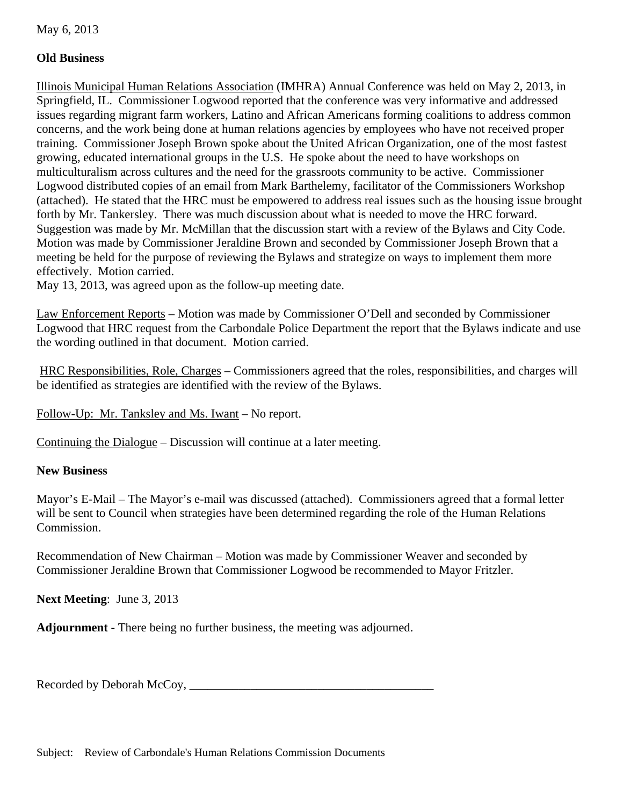May 6, 2013

# **Old Business**

Illinois Municipal Human Relations Association (IMHRA) Annual Conference was held on May 2, 2013, in Springfield, IL. Commissioner Logwood reported that the conference was very informative and addressed issues regarding migrant farm workers, Latino and African Americans forming coalitions to address common concerns, and the work being done at human relations agencies by employees who have not received proper training. Commissioner Joseph Brown spoke about the United African Organization, one of the most fastest growing, educated international groups in the U.S. He spoke about the need to have workshops on multiculturalism across cultures and the need for the grassroots community to be active. Commissioner Logwood distributed copies of an email from Mark Barthelemy, facilitator of the Commissioners Workshop (attached). He stated that the HRC must be empowered to address real issues such as the housing issue brought forth by Mr. Tankersley. There was much discussion about what is needed to move the HRC forward. Suggestion was made by Mr. McMillan that the discussion start with a review of the Bylaws and City Code. Motion was made by Commissioner Jeraldine Brown and seconded by Commissioner Joseph Brown that a meeting be held for the purpose of reviewing the Bylaws and strategize on ways to implement them more effectively. Motion carried.

May 13, 2013, was agreed upon as the follow-up meeting date.

Law Enforcement Reports – Motion was made by Commissioner O'Dell and seconded by Commissioner Logwood that HRC request from the Carbondale Police Department the report that the Bylaws indicate and use the wording outlined in that document. Motion carried.

 HRC Responsibilities, Role, Charges – Commissioners agreed that the roles, responsibilities, and charges will be identified as strategies are identified with the review of the Bylaws.

Follow-Up: Mr. Tanksley and Ms. Iwant – No report.

Continuing the Dialogue – Discussion will continue at a later meeting.

#### **New Business**

Mayor's E-Mail – The Mayor's e-mail was discussed (attached). Commissioners agreed that a formal letter will be sent to Council when strategies have been determined regarding the role of the Human Relations Commission.

Recommendation of New Chairman – Motion was made by Commissioner Weaver and seconded by Commissioner Jeraldine Brown that Commissioner Logwood be recommended to Mayor Fritzler.

**Next Meeting**: June 3, 2013

**Adjournment -** There being no further business, the meeting was adjourned.

Recorded by Deborah McCoy, \_\_\_\_\_\_\_\_\_\_\_\_\_\_\_\_\_\_\_\_\_\_\_\_\_\_\_\_\_\_\_\_\_\_\_\_\_\_\_\_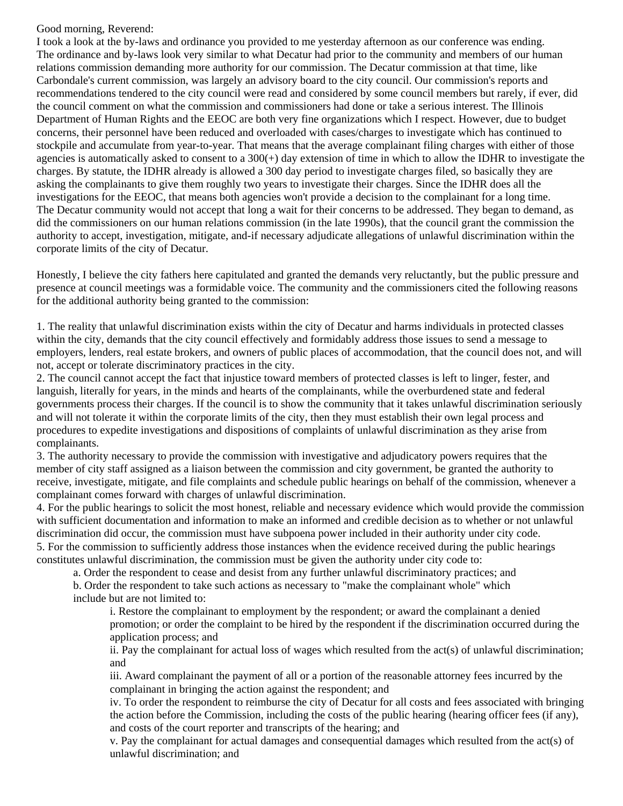#### Good morning, Reverend:

I took a look at the by-laws and ordinance you provided to me yesterday afternoon as our conference was ending. The ordinance and by-laws look very similar to what Decatur had prior to the community and members of our human relations commission demanding more authority for our commission. The Decatur commission at that time, like Carbondale's current commission, was largely an advisory board to the city council. Our commission's reports and recommendations tendered to the city council were read and considered by some council members but rarely, if ever, did the council comment on what the commission and commissioners had done or take a serious interest. The Illinois Department of Human Rights and the EEOC are both very fine organizations which I respect. However, due to budget concerns, their personnel have been reduced and overloaded with cases/charges to investigate which has continued to stockpile and accumulate from year-to-year. That means that the average complainant filing charges with either of those agencies is automatically asked to consent to a  $300(+)$  day extension of time in which to allow the IDHR to investigate the charges. By statute, the IDHR already is allowed a 300 day period to investigate charges filed, so basically they are asking the complainants to give them roughly two years to investigate their charges. Since the IDHR does all the investigations for the EEOC, that means both agencies won't provide a decision to the complainant for a long time. The Decatur community would not accept that long a wait for their concerns to be addressed. They began to demand, as did the commissioners on our human relations commission (in the late 1990s), that the council grant the commission the authority to accept, investigation, mitigate, and-if necessary adjudicate allegations of unlawful discrimination within the corporate limits of the city of Decatur.

Honestly, I believe the city fathers here capitulated and granted the demands very reluctantly, but the public pressure and presence at council meetings was a formidable voice. The community and the commissioners cited the following reasons for the additional authority being granted to the commission:

1. The reality that unlawful discrimination exists within the city of Decatur and harms individuals in protected classes within the city, demands that the city council effectively and formidably address those issues to send a message to employers, lenders, real estate brokers, and owners of public places of accommodation, that the council does not, and will not, accept or tolerate discriminatory practices in the city.

2. The council cannot accept the fact that injustice toward members of protected classes is left to linger, fester, and languish, literally for years, in the minds and hearts of the complainants, while the overburdened state and federal governments process their charges. If the council is to show the community that it takes unlawful discrimination seriously and will not tolerate it within the corporate limits of the city, then they must establish their own legal process and procedures to expedite investigations and dispositions of complaints of unlawful discrimination as they arise from complainants.

3. The authority necessary to provide the commission with investigative and adjudicatory powers requires that the member of city staff assigned as a liaison between the commission and city government, be granted the authority to receive, investigate, mitigate, and file complaints and schedule public hearings on behalf of the commission, whenever a complainant comes forward with charges of unlawful discrimination.

4. For the public hearings to solicit the most honest, reliable and necessary evidence which would provide the commission with sufficient documentation and information to make an informed and credible decision as to whether or not unlawful discrimination did occur, the commission must have subpoena power included in their authority under city code. 5. For the commission to sufficiently address those instances when the evidence received during the public hearings constitutes unlawful discrimination, the commission must be given the authority under city code to:

a. Order the respondent to cease and desist from any further unlawful discriminatory practices; and

b. Order the respondent to take such actions as necessary to "make the complainant whole" which include but are not limited to:

i. Restore the complainant to employment by the respondent; or award the complainant a denied promotion; or order the complaint to be hired by the respondent if the discrimination occurred during the application process; and

ii. Pay the complainant for actual loss of wages which resulted from the act(s) of unlawful discrimination; and

iii. Award complainant the payment of all or a portion of the reasonable attorney fees incurred by the complainant in bringing the action against the respondent; and

iv. To order the respondent to reimburse the city of Decatur for all costs and fees associated with bringing the action before the Commission, including the costs of the public hearing (hearing officer fees (if any), and costs of the court reporter and transcripts of the hearing; and

v. Pay the complainant for actual damages and consequential damages which resulted from the act(s) of unlawful discrimination; and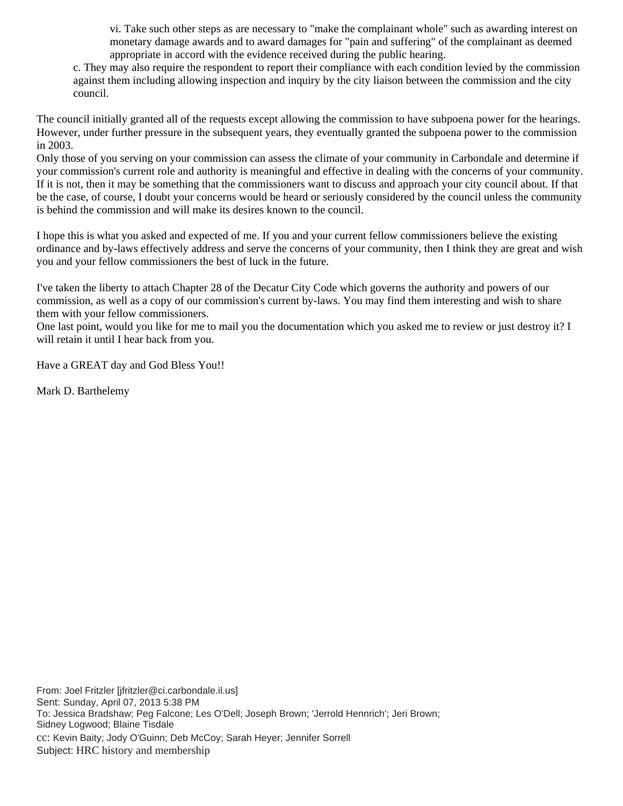vi. Take such other steps as are necessary to "make the complainant whole" such as awarding interest on monetary damage awards and to award damages for "pain and suffering" of the complainant as deemed appropriate in accord with the evidence received during the public hearing.

c. They may also require the respondent to report their compliance with each condition levied by the commission against them including allowing inspection and inquiry by the city liaison between the commission and the city council.

The council initially granted all of the requests except allowing the commission to have subpoena power for the hearings. However, under further pressure in the subsequent years, they eventually granted the subpoena power to the commission in 2003.

Only those of you serving on your commission can assess the climate of your community in Carbondale and determine if your commission's current role and authority is meaningful and effective in dealing with the concerns of your community. If it is not, then it may be something that the commissioners want to discuss and approach your city council about. If that be the case, of course, I doubt your concerns would be heard or seriously considered by the council unless the community is behind the commission and will make its desires known to the council.

I hope this is what you asked and expected of me. If you and your current fellow commissioners believe the existing ordinance and by-laws effectively address and serve the concerns of your community, then I think they are great and wish you and your fellow commissioners the best of luck in the future.

I've taken the liberty to attach Chapter 28 of the Decatur City Code which governs the authority and powers of our commission, as well as a copy of our commission's current by-laws. You may find them interesting and wish to share them with your fellow commissioners.

One last point, would you like for me to mail you the documentation which you asked me to review or just destroy it? I will retain it until I hear back from you.

Have a GREAT day and God Bless You!!

Mark D. Barthelemy